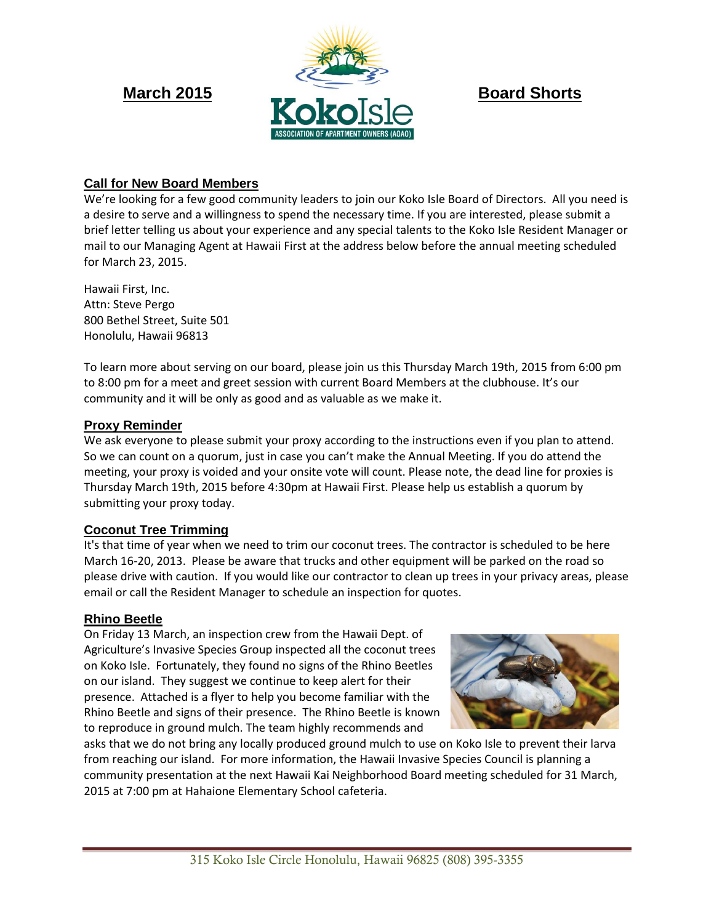

# **Call for New Board Members**

We're looking for a few good community leaders to join our Koko Isle Board of Directors. All you need is a desire to serve and a willingness to spend the necessary time. If you are interested, please submit a brief letter telling us about your experience and any special talents to the Koko Isle Resident Manager or mail to our Managing Agent at Hawaii First at the address below before the annual meeting scheduled for March 23, 2015.

Hawaii First, Inc. Attn: Steve Pergo 800 Bethel Street, Suite 501 Honolulu, Hawaii 96813

To learn more about serving on our board, please join us this Thursday March 19th, 2015 from 6:00 pm to 8:00 pm for a meet and greet session with current Board Members at the clubhouse. It's our community and it will be only as good and as valuable as we make it.

## **Proxy Reminder**

We ask everyone to please submit your proxy according to the instructions even if you plan to attend. So we can count on a quorum, just in case you can't make the Annual Meeting. If you do attend the meeting, your proxy is voided and your onsite vote will count. Please note, the dead line for proxies is Thursday March 19th, 2015 before 4:30pm at Hawaii First. Please help us establish a quorum by submitting your proxy today.

# **Coconut Tree Trimming**

It's that time of year when we need to trim our coconut trees. The contractor is scheduled to be here March 16-20, 2013. Please be aware that trucks and other equipment will be parked on the road so please drive with caution. If you would like our contractor to clean up trees in your privacy areas, please email or call the Resident Manager to schedule an inspection for quotes.

### **Rhino Beetle**

On Friday 13 March, an inspection crew from the Hawaii Dept. of Agriculture's Invasive Species Group inspected all the coconut trees on Koko Isle. Fortunately, they found no signs of the Rhino Beetles on our island. They suggest we continue to keep alert for their presence. Attached is a flyer to help you become familiar with the Rhino Beetle and signs of their presence. The Rhino Beetle is known to reproduce in ground mulch. The team highly recommends and



asks that we do not bring any locally produced ground mulch to use on Koko Isle to prevent their larva from reaching our island. For more information, the Hawaii Invasive Species Council is planning a community presentation at the next Hawaii Kai Neighborhood Board meeting scheduled for 31 March, 2015 at 7:00 pm at Hahaione Elementary School cafeteria.